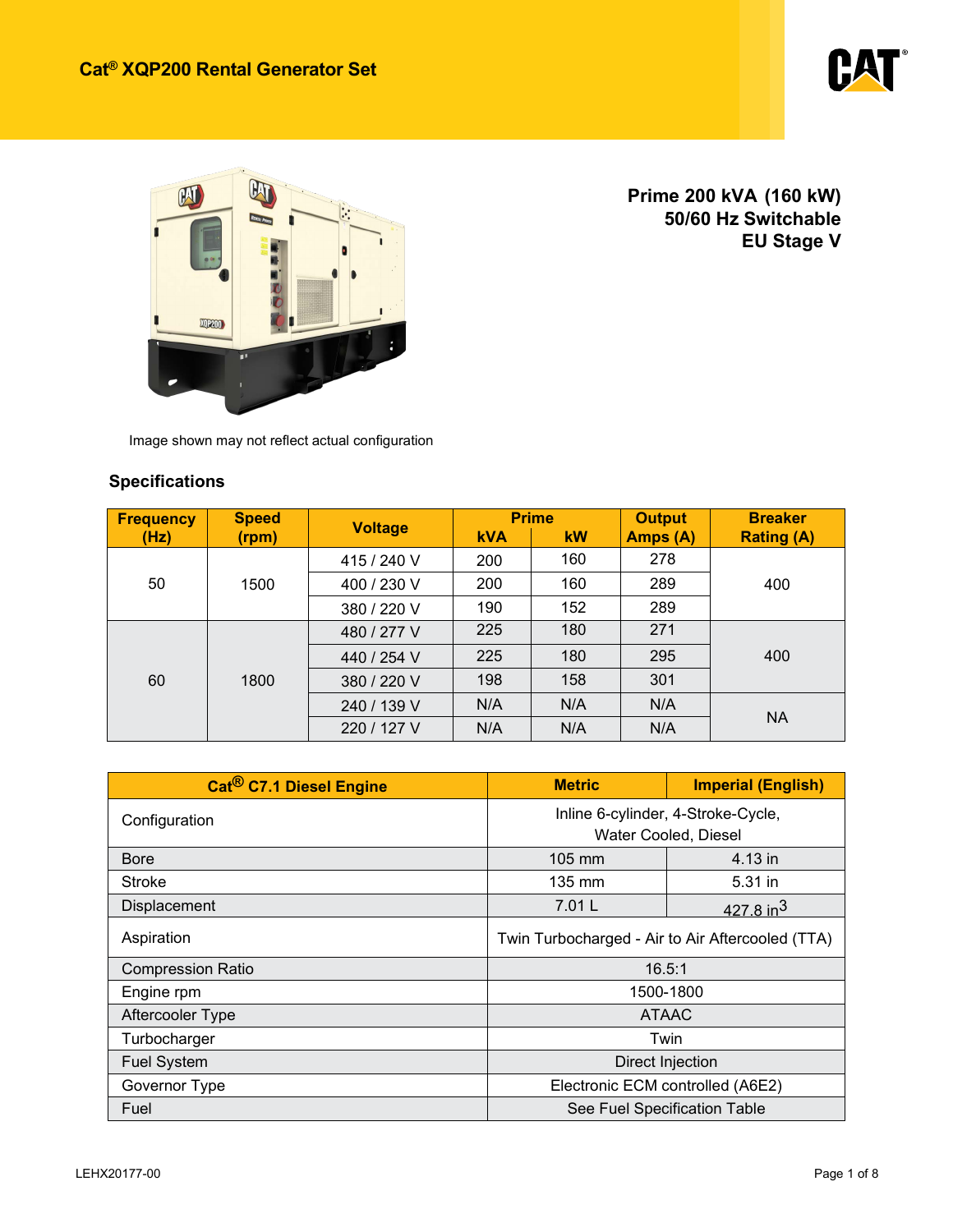



**Prime 200 kVA (160 kW) 50/60 Hz Switchable EU Stage V** 

Image shown may not reflect actual configuration

### **Specifications**

| <b>Frequency</b> | <b>Speed</b> |                |            | <b>Prime</b> | <b>Output</b> | <b>Breaker</b>    |
|------------------|--------------|----------------|------------|--------------|---------------|-------------------|
| (Hz)             | (rpm)        | <b>Voltage</b> | <b>kVA</b> | <b>kW</b>    | Amps (A)      | <b>Rating (A)</b> |
|                  |              | 415 / 240 V    | 200        | 160          | 278           |                   |
| 50               | 1500         | 400 / 230 V    | 200        | 160          | 289           | 400               |
|                  |              | 380 / 220 V    | 190        | 152          | 289           |                   |
| 60               | 1800         | 480 / 277 V    | 225        | 180          | 271           |                   |
|                  |              | 440 / 254 V    | 225        | 180          | 295           | 400               |
|                  |              | 380 / 220 V    | 198        | 158          | 301           |                   |
|                  |              | 240 / 139 V    | N/A        | N/A          | N/A           |                   |
|                  |              | 220 / 127 V    | N/A        | N/A          | N/A           | <b>NA</b>         |

| Cat <sup>®</sup> C7.1 ACERT <sup>™</sup> Diesel Engine | <b>Imperial (English)</b><br><b>Metric</b>       |                      |  |  |
|--------------------------------------------------------|--------------------------------------------------|----------------------|--|--|
| Configuration                                          | Inline 6-cylinder, 4-Stroke-Cycle,               |                      |  |  |
|                                                        |                                                  | Water Cooled, Diesel |  |  |
| <b>Bore</b>                                            | 105 mm                                           | 4.13 in              |  |  |
| Stroke                                                 | $135 \text{ mm}$                                 | 5.31 in              |  |  |
| Displacement                                           | 7.01L                                            | $427.8 \text{ in}^3$ |  |  |
| Aspiration                                             | Twin Turbocharged - Air to Air Aftercooled (TTA) |                      |  |  |
| <b>Compression Ratio</b>                               |                                                  | 16.5:1               |  |  |
| Engine rpm                                             |                                                  | 1500-1800            |  |  |
| Aftercooler Type                                       | <b>ATAAC</b>                                     |                      |  |  |
| Turbocharger                                           | Twin                                             |                      |  |  |
| <b>Fuel System</b>                                     | Direct Injection                                 |                      |  |  |
| Governor Type                                          | Electronic ECM controlled (A6E2)                 |                      |  |  |
| Fuel                                                   | See Fuel Specification Table                     |                      |  |  |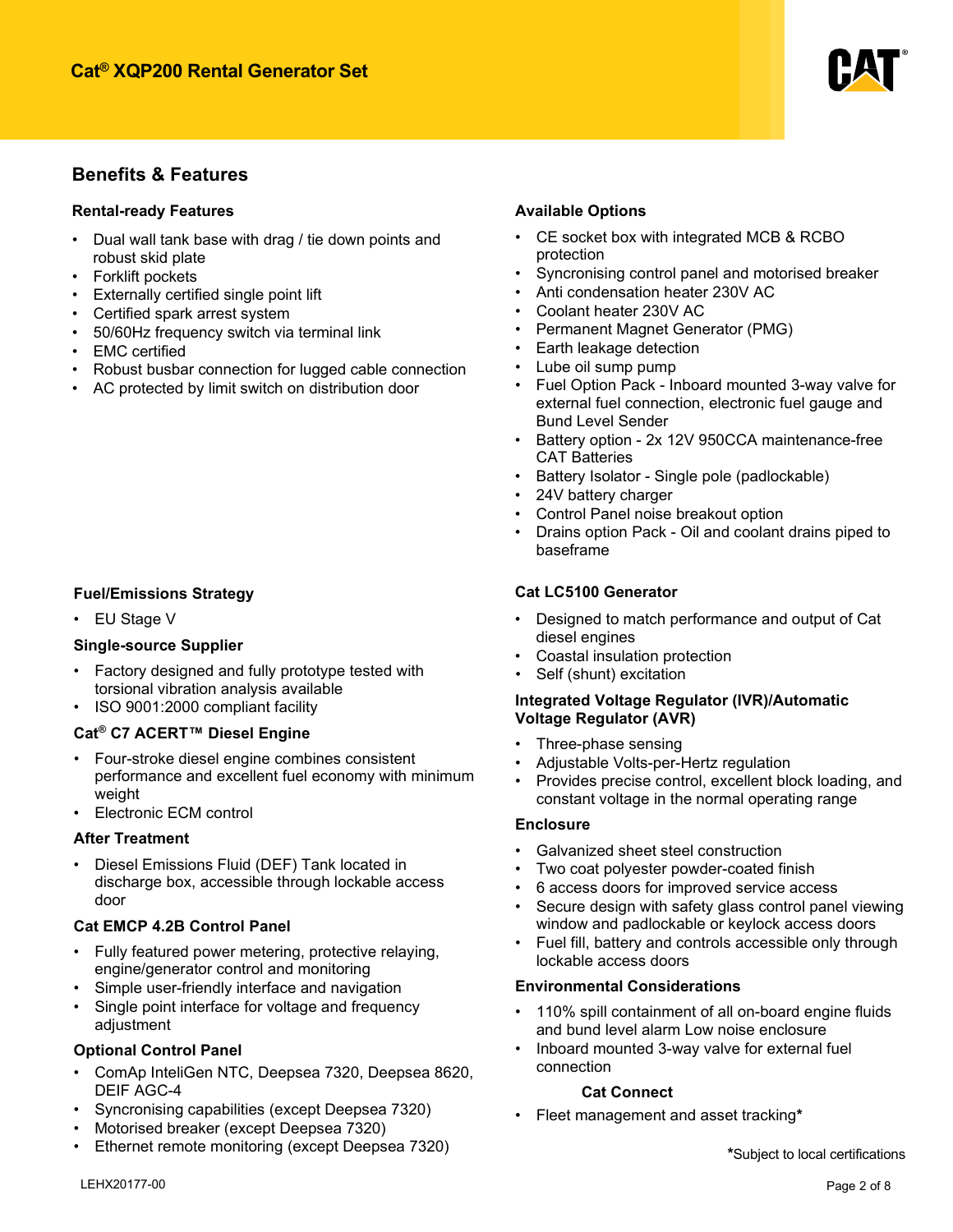

### **Benefits & Features**

#### **Rental-ready Features**

- Dual wall tank base with drag / tie down points and robust skid plate
- Forklift pockets
- Externally certified single point lift
- Certified spark arrest system
- 50/60Hz frequency switch via terminal link
- EMC certified
- Robust busbar connection for lugged cable connection
- AC protected by limit switch on distribution door

#### **Fuel/Emissions Strategy**

• EU Stage V

#### **Single-source Supplier**

- Factory designed and fully prototype tested with torsional vibration analysis available
- ISO 9001:2000 compliant facility

#### **Cat® C7 ACERT™ Diesel Engine**

- Four-stroke diesel engine combines consistent performance and excellent fuel economy with minimum weight
- Electronic ECM control

#### **After Treatment**

• Diesel Emissions Fluid (DEF) Tank located in discharge box, accessible through lockable access door

#### **Cat EMCP 4.2B Control Panel**

- Fully featured power metering, protective relaying, engine/generator control and monitoring
- Simple user-friendly interface and navigation
- Single point interface for voltage and frequency adjustment

#### **Optional Control Panel**

- ComAp InteliGen NTC, Deep Sea 7320, Deep Sea 8620, DEIF AGC-4
- Syncronising capabilities (except Deep Sea 7320)
- Motorised breaker (except Deep Sea 7320)
- Ethernet remote monitoring (except Deep Sea 7320)

#### **Available Options**

- CE socket box with integrated MCB & RCBO protection
- Syncronising control panel and motorised breaker
- Anti condensation heater 230V AC
- Coolant heater 230V AC
- Permanent Magnet Generator (PMG)
- Earth leakage detection
- Lube oil sump pump
- Fuel Option Pack Inboard mounted 3-way valve for external fuel connection, electronic fuel gauge and Bund Level Sender
- Battery option 2x 12V 950CCA maintenance-free CAT Batteries
- Battery Isolator Single pole (padlockable)
- 24V battery charger
- Control Panel noise breakout option
- Drains option Pack Oil and coolant drains piped to baseframe

#### **Cat LC5100 Generator**

- Designed to match performance and output of Cat diesel engines
- Coastal insulation protection
- Self (Shunt) excitation

#### **Integrated Voltage Regulator (IVR)/Automatic Voltage Regulator (AVR)**

- Three-phase sensing
- Adjustable Volts-per-Hertz regulation
- Provides precise control, excellent block loading, and constant voltage in the normal operating range

#### **Enclosure**

- Galvanized sheet steel construction
- Two coat polyester powder-coated finish
- 6 access doors for improved service access
- Secure design with safety glass control panel viewing window and padlockable or keylock access doors
- Fuel fill, battery and controls accessible only through lockable access doors

#### **Environmental Considerations**

- 110% spill containment of all on-board engine fluids and bund level alarm
- Low noise enclosure

#### **Cat Connect**

• Fleet management and asset tracking**\***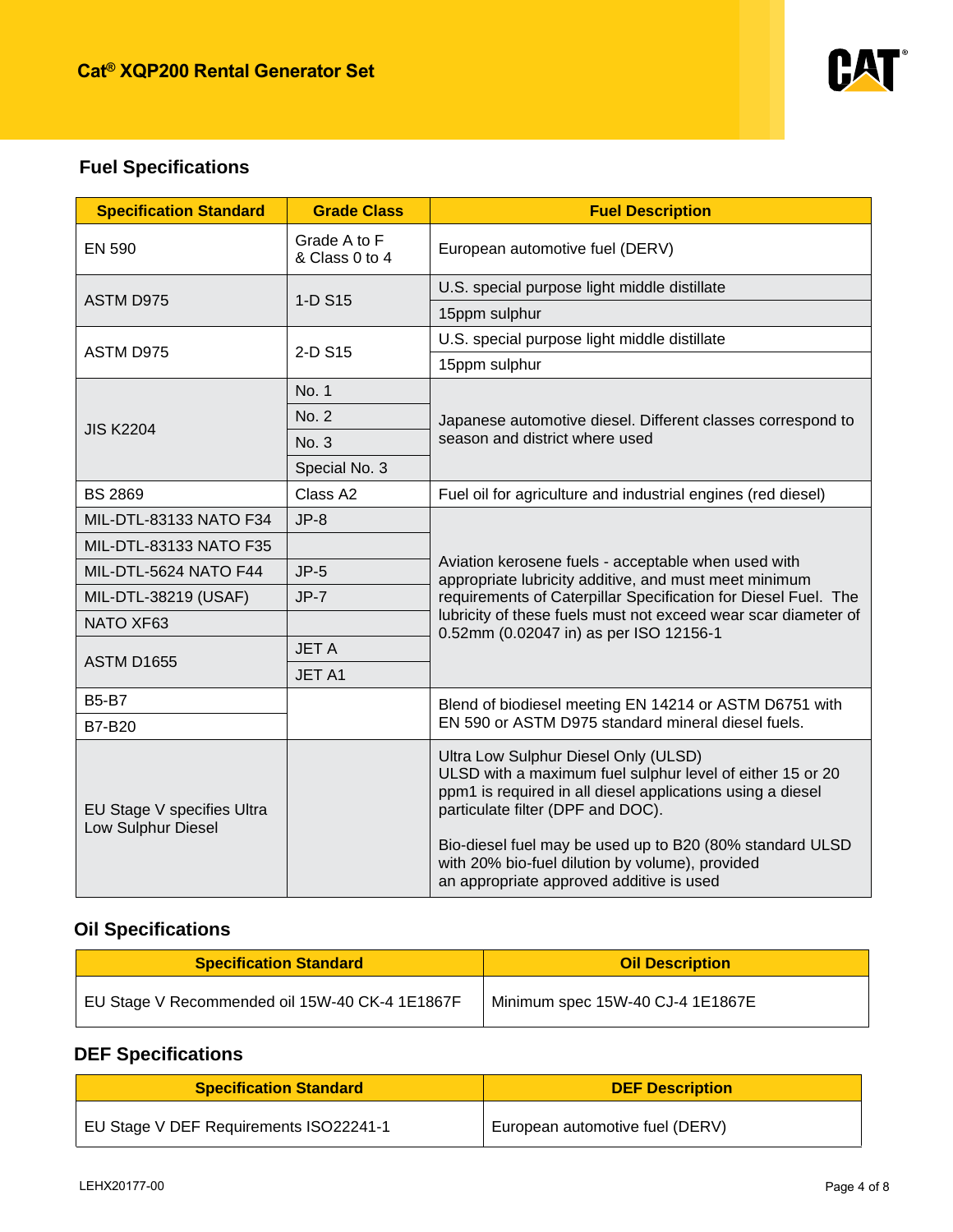

# **Fuel Specifications**

| <b>Specification Standard</b>                    | <b>Grade Class</b>             | <b>Fuel Description</b>                                                                                                                                                                                                                                                                                                                                         |  |  |
|--------------------------------------------------|--------------------------------|-----------------------------------------------------------------------------------------------------------------------------------------------------------------------------------------------------------------------------------------------------------------------------------------------------------------------------------------------------------------|--|--|
| <b>EN 590</b>                                    | Grade A to F<br>& Class 0 to 4 | European automotive fuel (DERV)                                                                                                                                                                                                                                                                                                                                 |  |  |
| <b>ASTM D975</b>                                 | 1-D S15                        | U.S. special purpose light middle distillate                                                                                                                                                                                                                                                                                                                    |  |  |
|                                                  |                                | 15ppm sulphur                                                                                                                                                                                                                                                                                                                                                   |  |  |
| ASTM D975                                        | 2-D S15                        | U.S. special purpose light middle distillate                                                                                                                                                                                                                                                                                                                    |  |  |
|                                                  |                                | 15ppm sulphur                                                                                                                                                                                                                                                                                                                                                   |  |  |
|                                                  | No. 1                          |                                                                                                                                                                                                                                                                                                                                                                 |  |  |
| <b>JIS K2204</b>                                 | No. 2                          | Japanese automotive diesel. Different classes correspond to                                                                                                                                                                                                                                                                                                     |  |  |
|                                                  | No. 3                          | season and district where used                                                                                                                                                                                                                                                                                                                                  |  |  |
|                                                  | Special No. 3                  |                                                                                                                                                                                                                                                                                                                                                                 |  |  |
| <b>BS 2869</b>                                   | Class A2                       | Fuel oil for agriculture and industrial engines (red diesel)                                                                                                                                                                                                                                                                                                    |  |  |
| MIL-DTL-83133 NATO F34                           | $JP-8$                         |                                                                                                                                                                                                                                                                                                                                                                 |  |  |
| MIL-DTL-83133 NATO F35                           |                                |                                                                                                                                                                                                                                                                                                                                                                 |  |  |
| MIL-DTL-5624 NATO F44                            | $JP-5$                         | Aviation kerosene fuels - acceptable when used with<br>appropriate lubricity additive, and must meet minimum                                                                                                                                                                                                                                                    |  |  |
| MIL-DTL-38219 (USAF)                             | $JP-7$                         | requirements of Caterpillar Specification for Diesel Fuel. The                                                                                                                                                                                                                                                                                                  |  |  |
| NATO XF63                                        |                                | lubricity of these fuels must not exceed wear scar diameter of<br>0.52mm (0.02047 in) as per ISO 12156-1                                                                                                                                                                                                                                                        |  |  |
|                                                  | <b>JETA</b>                    |                                                                                                                                                                                                                                                                                                                                                                 |  |  |
| <b>ASTM D1655</b>                                | JET A1                         |                                                                                                                                                                                                                                                                                                                                                                 |  |  |
| <b>B5-B7</b>                                     |                                | Blend of biodiesel meeting EN 14214 or ASTM D6751 with                                                                                                                                                                                                                                                                                                          |  |  |
| <b>B7-B20</b>                                    |                                | EN 590 or ASTM D975 standard mineral diesel fuels.                                                                                                                                                                                                                                                                                                              |  |  |
| EU Stage V specifies Ultra<br>Low Sulphur Diesel |                                | Ultra Low Sulphur Diesel Only (ULSD)<br>ULSD with a maximum fuel sulphur level of either 15 or 20<br>ppm1 is required in all diesel applications using a diesel<br>particulate filter (DPF and DOC).<br>Bio-diesel fuel may be used up to B20 (80% standard ULSD<br>with 20% bio-fuel dilution by volume), provided<br>an appropriate approved additive is used |  |  |

# **Oil Specifications**

| <b>Specification Standard</b>                  | <b>Oil Description</b>           |
|------------------------------------------------|----------------------------------|
| EU Stage V Recommended oil 15W-40 CK-4 1E1867F | Minimum spec 15W-40 CJ-4 1E1867E |

# **DEF Specifications**

| <b>Specification Standard</b>          | <b>DEF Description</b>          |  |  |
|----------------------------------------|---------------------------------|--|--|
| EU Stage V DEF Requirements ISO22241-1 | European automotive fuel (DERV) |  |  |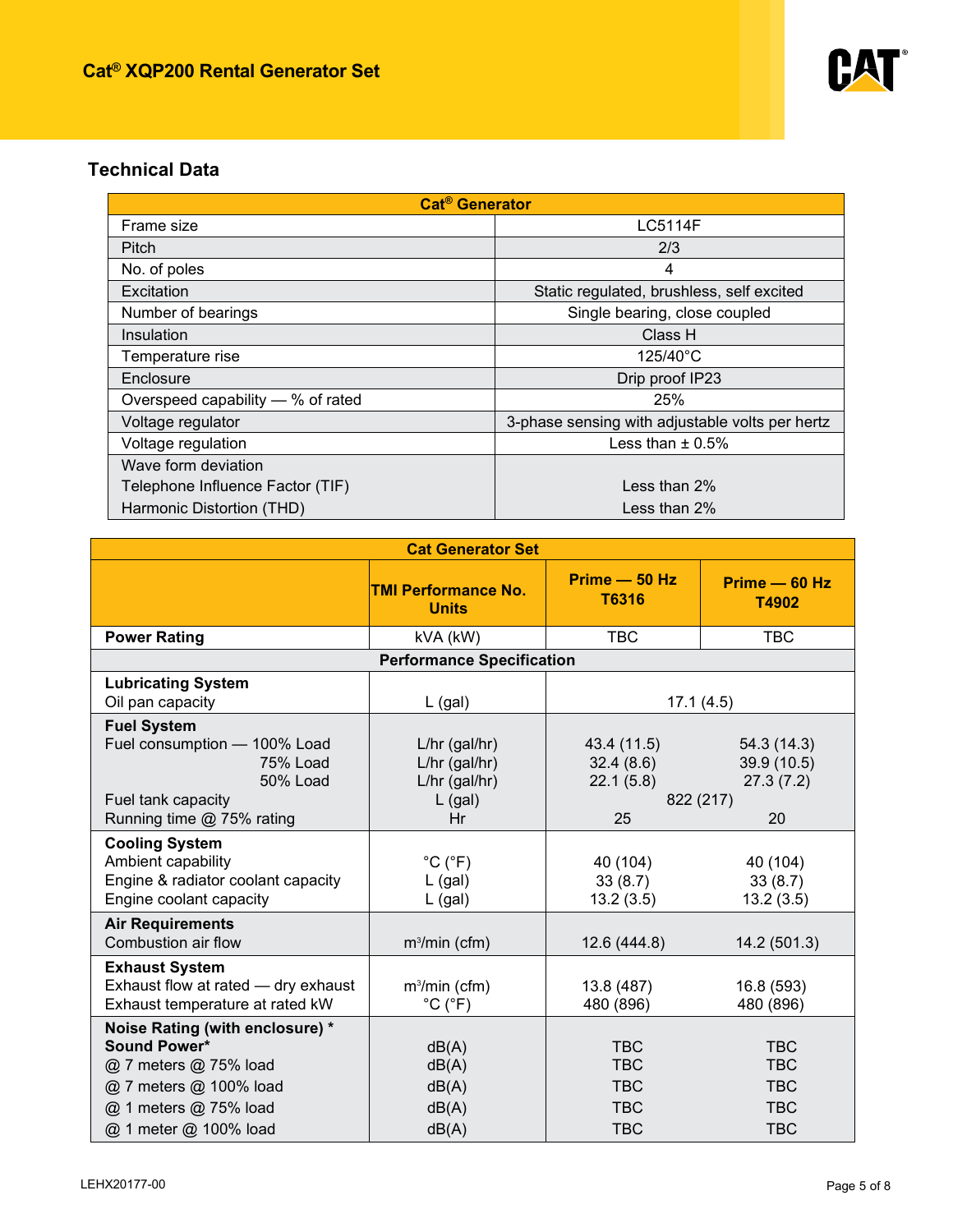

## **Technical Data**

| <b>Cat<sup>®</sup></b> Generator  |                                                 |  |  |
|-----------------------------------|-------------------------------------------------|--|--|
| Frame size                        | <b>LC5114F</b>                                  |  |  |
| Pitch                             | 2/3                                             |  |  |
| No. of poles                      | 4                                               |  |  |
| Excitation                        | Static regulated, brushless, self excited       |  |  |
| Number of bearings                | Single bearing, close coupled                   |  |  |
| Insulation                        | Class H                                         |  |  |
| Temperature rise                  | 125/40°C                                        |  |  |
| Enclosure                         | Drip proof IP23                                 |  |  |
| Overspeed capability — % of rated | 25%                                             |  |  |
| Voltage regulator                 | 3-phase sensing with adjustable volts per hertz |  |  |
| Voltage regulation                | Less than $\pm$ 0.5%                            |  |  |
| Wave form deviation               |                                                 |  |  |
| Telephone Influence Factor (TIF)  | Less than $2\%$                                 |  |  |
| Harmonic Distortion (THD)         | Less than 2%                                    |  |  |

| <b>Cat Generator Set</b>            |                                            |                          |                        |  |
|-------------------------------------|--------------------------------------------|--------------------------|------------------------|--|
|                                     | <b>TMI Performance No.</b><br><b>Units</b> | $Prime - 50 Hz$<br>T6316 | Prime - 60 Hz<br>T4902 |  |
| <b>Power Rating</b>                 | kVA (kW)                                   | $\Box$                   | 225 (180)              |  |
|                                     | <b>Performance Specification</b>           |                          |                        |  |
| <b>Lubricating System</b>           |                                            |                          |                        |  |
| Oil pan capacity                    | $L$ (gal)                                  |                          | 17.1(4.5)              |  |
| <b>Fuel System</b>                  |                                            |                          |                        |  |
| Fuel consumption - 100% Load        | $L/hr$ (gal/hr)                            | 43.4 (11.5)              | 54.3(14.3)             |  |
| 75% Load                            | L/hr (gal/hr)                              | 32.4(8.6)                | 39.9 (10.5)            |  |
| <b>50% Load</b>                     | $L/hr$ (gal/hr)                            | 22.1(5.8)                | 27.3(7.2)              |  |
| Fuel tank capacity                  | $L$ (gal)                                  |                          | 822 (217)              |  |
| Running time @ 75% rating           | Hr                                         | 25                       | 20                     |  |
| <b>Cooling System</b>               |                                            |                          |                        |  |
| Ambient capability                  | $^{\circ}C$ ( $^{\circ}F$ )                | 40 (104)                 | 40 (104)               |  |
| Engine & radiator coolant capacity  | $L$ (gal)                                  | 33(8.7)                  | 33(8.7)                |  |
| Engine coolant capacity             | $L$ (gal)                                  | 13.2(3.5)                | 13.2(3.5)              |  |
| <b>Air Requirements</b>             |                                            |                          |                        |  |
| Combustion air flow                 | $m3/min$ (cfm)                             | 12.6 (444.8)             | 14.2 (501.3)           |  |
| <b>Exhaust System</b>               |                                            |                          |                        |  |
| Exhaust flow at rated - dry exhaust | $m3/min$ (cfm)                             | 13.8 (487)               | 16.8 (593)             |  |
| Exhaust temperature at rated kW     | $^{\circ}$ C ( $^{\circ}$ F)               | 480 (896)                | 480 (896)              |  |
| Noise Rating (with enclosure) *     |                                            |                          |                        |  |
| Sound Power*                        | dB(A)                                      | 93.8                     | 97.0                   |  |
| @ 7 meters @ 75% load               | dB(A)                                      | 64.6                     | <b>TBC</b>             |  |
| @ 7 meters @ 100% load              | dB(A)                                      | 66.1                     | <b>TBC</b>             |  |
| @ 1 meters @ 75% load               | dB(A)                                      | 75.1                     | <b>TBC</b>             |  |
| @ 1 meter @ 100% load               | dB(A)                                      | 76.1                     | <b>TBC</b>             |  |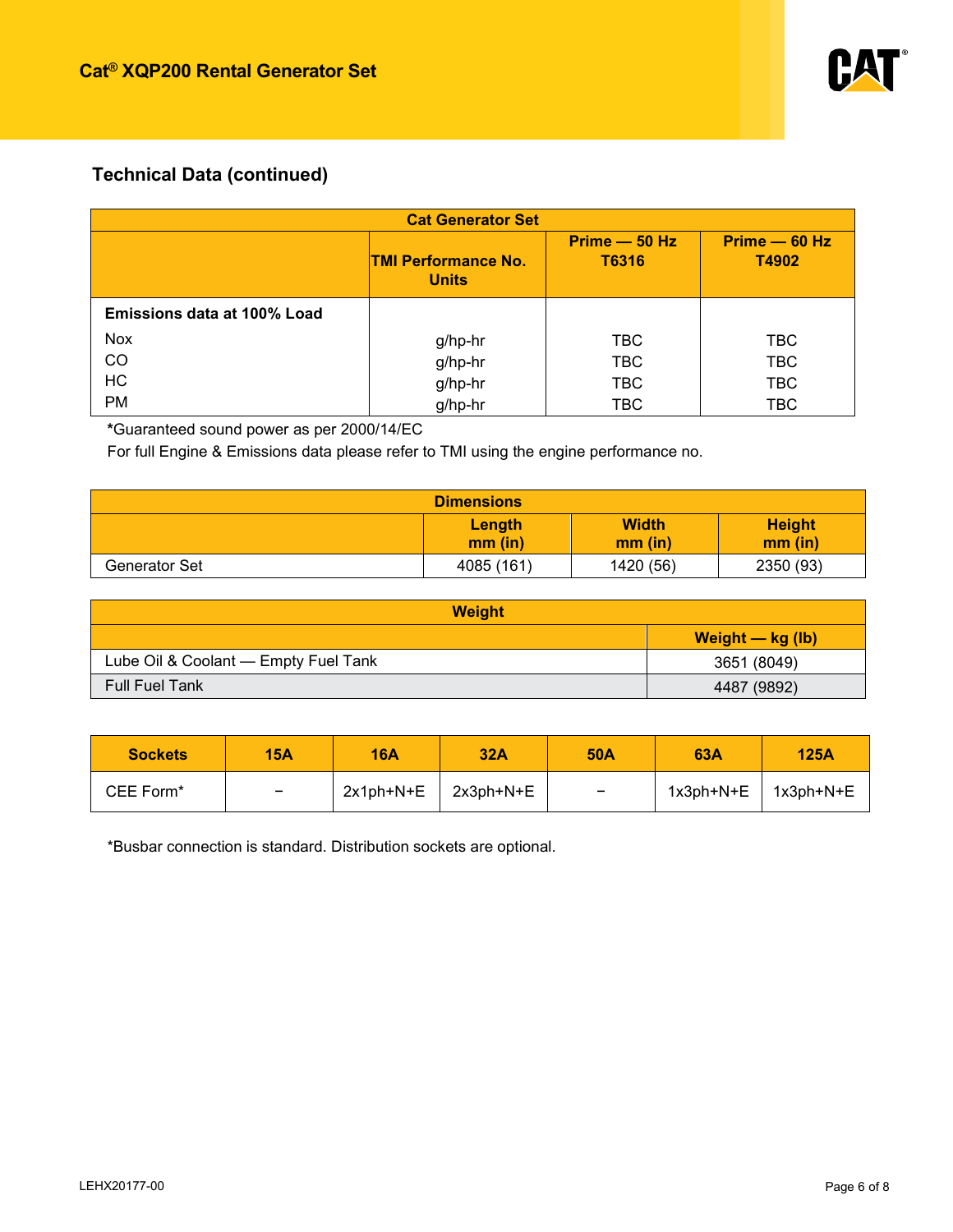

# **Technical Data (continued)**

| <b>Cat Generator Set</b>    |                                            |                          |                        |  |
|-----------------------------|--------------------------------------------|--------------------------|------------------------|--|
|                             | <b>TMI Performance No.</b><br><b>Units</b> | $Prime - 50 Hz$<br>T6316 | Prime - 60 Hz<br>T4902 |  |
| Emissions data at 100% Load |                                            |                          |                        |  |
| <b>Nox</b>                  | g/hp-hr                                    | <b>TBC</b>               | TBC.                   |  |
| CO                          | g/hp-hr                                    | <b>TBC</b>               | <b>TBC</b>             |  |
| <b>HC</b>                   | g/hp-hr                                    | <b>TBC</b>               | <b>TBC</b>             |  |
| <b>PM</b>                   | g/hp-hr                                    | <b>TBC</b>               | <b>TBC</b>             |  |

**\***Guaranteed sound power as per 2000/14/EC

For full Engine & Emissions data please refer to TMI using the engine performance no.

|               | <b>Dimensions</b>   |                           |                          |
|---------------|---------------------|---------------------------|--------------------------|
|               | Length<br>$mm$ (in) | <b>Width</b><br>$mm$ (in) | <b>Height</b><br>mm (in) |
| Generator Set | 4085 (161)          | 1420 (56)                 | 2350 (93)                |

| <b>Weight</b>                        |                    |  |  |
|--------------------------------------|--------------------|--|--|
|                                      | Weight $-$ kg (lb) |  |  |
| Lube Oil & Coolant - Empty Fuel Tank | 3651 (8049)        |  |  |
| <b>Full Fuel Tank</b>                | 4487 (9892)        |  |  |

| <b>Sockets</b> | <b>15A</b>               | <b>16A</b> | 32A       | <b>50A</b> | 63A       | <b>125A</b> |
|----------------|--------------------------|------------|-----------|------------|-----------|-------------|
| CEE Form*      | $\overline{\phantom{0}}$ | 2x1ph+N+E  | 2x3ph+N+E | -          | 1x3ph+N+E | 1x3ph+N+E   |

\*Busbar connection is standard. Distribution sockets are optional.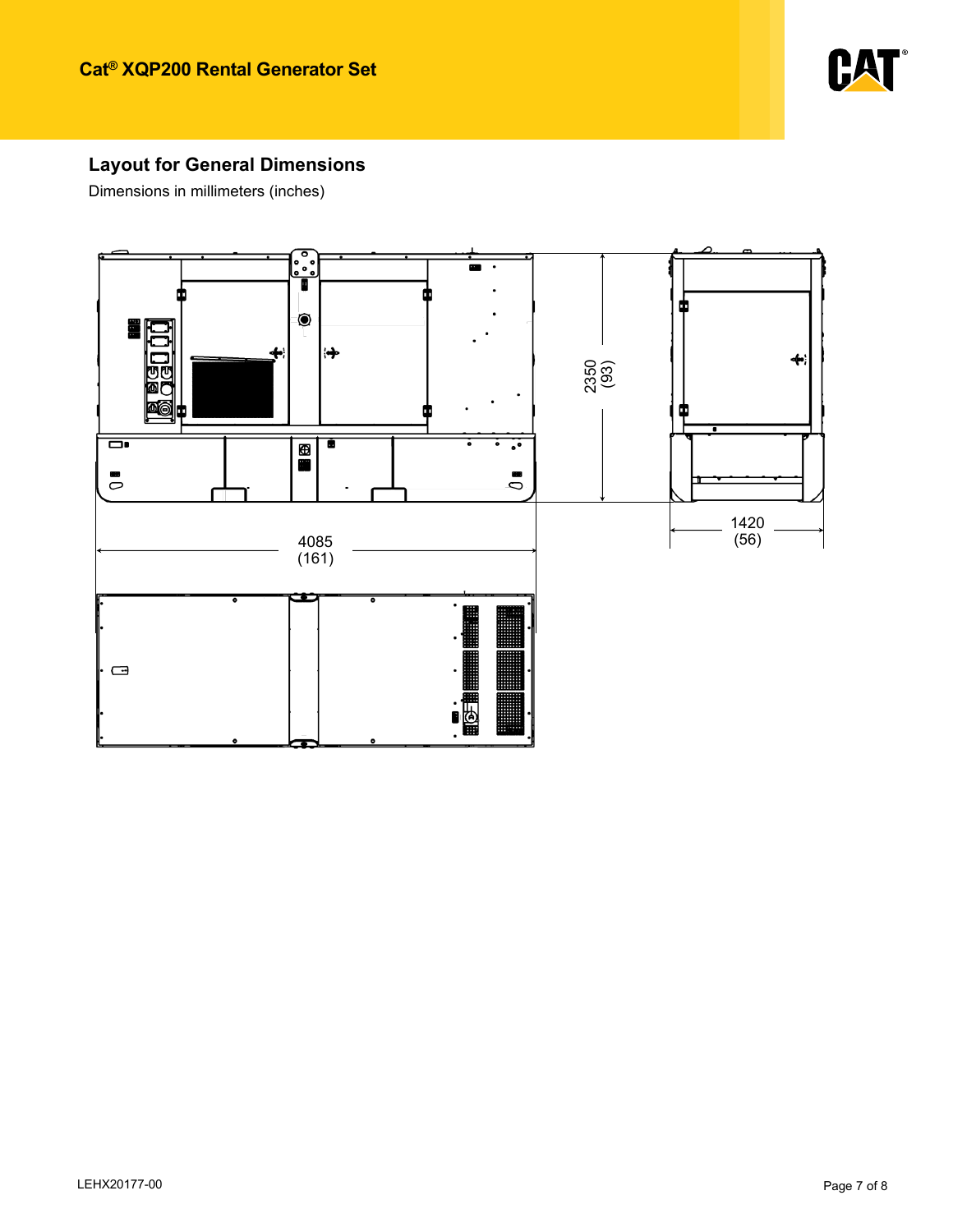

## **Layout for General Dimensions**

Dimensions in millimeters (inches)